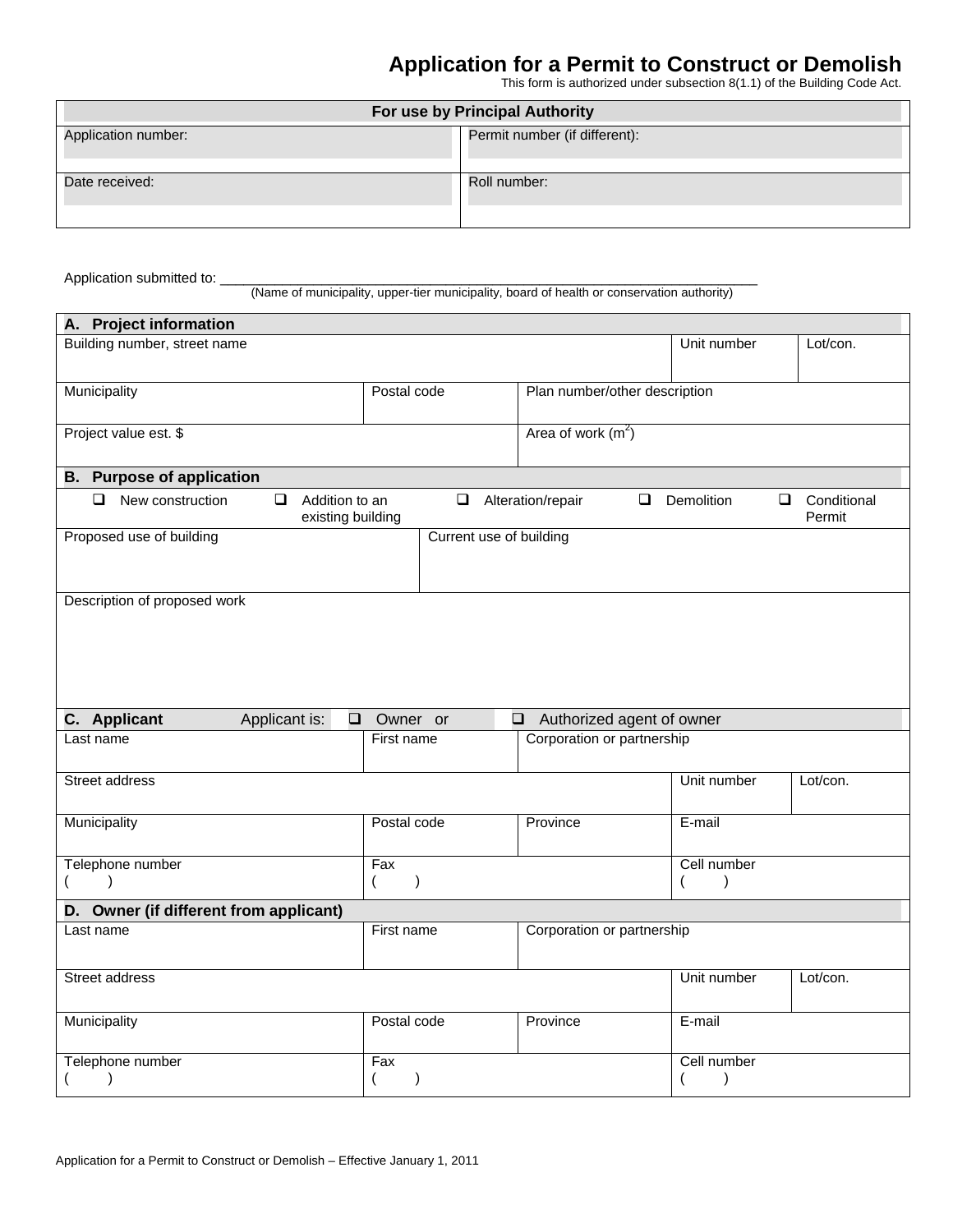## **Application for a Permit to Construct or Demolish**

This form is authorized under subsection 8(1.1) of the Building Code Act.

| For use by Principal Authority |                               |  |  |  |
|--------------------------------|-------------------------------|--|--|--|
| Application number:            | Permit number (if different): |  |  |  |
| Date received:                 | Roll number:                  |  |  |  |

Application submitted to:

(Name of municipality, upper-tier municipality, board of health or conservation authority)

| A. Project information                                                      |                                          |                     |                                                                   |        |                              |        |                       |
|-----------------------------------------------------------------------------|------------------------------------------|---------------------|-------------------------------------------------------------------|--------|------------------------------|--------|-----------------------|
| Building number, street name                                                |                                          |                     |                                                                   |        | Unit number                  |        | Lot/con.              |
| Municipality                                                                | Postal code                              |                     | Plan number/other description                                     |        |                              |        |                       |
| Project value est. \$                                                       |                                          | Area of work $(m2)$ |                                                                   |        |                              |        |                       |
| <b>B.</b> Purpose of application                                            |                                          |                     |                                                                   |        |                              |        |                       |
| $\Box$<br>$\Box$<br>New construction<br>Addition to an<br>existing building | $\Box$                                   |                     | Alteration/repair                                                 | $\Box$ | Demolition                   | $\Box$ | Conditional<br>Permit |
| Proposed use of building                                                    |                                          |                     | Current use of building                                           |        |                              |        |                       |
| Description of proposed work                                                |                                          |                     |                                                                   |        |                              |        |                       |
| <b>C.</b> Applicant<br>Applicant is:<br>$\Box$<br>Last name                 | Owner or<br>First name                   |                     | Authorized agent of owner<br>$\Box$<br>Corporation or partnership |        |                              |        |                       |
|                                                                             |                                          |                     |                                                                   |        |                              |        |                       |
| <b>Street address</b>                                                       |                                          |                     |                                                                   |        | Unit number                  |        | Lot/con.              |
| Municipality                                                                | Postal code                              |                     | Province                                                          |        | E-mail                       |        |                       |
| Telephone number                                                            | Fax                                      |                     |                                                                   |        | Cell number                  |        |                       |
| $\lambda$                                                                   | (<br>$\lambda$                           |                     |                                                                   |        |                              |        |                       |
| D. Owner (if different from applicant)                                      |                                          |                     |                                                                   |        |                              |        |                       |
| Last name                                                                   | Corporation or partnership<br>First name |                     |                                                                   |        |                              |        |                       |
| <b>Street address</b>                                                       |                                          |                     |                                                                   |        | Unit number                  |        | Lot/con.              |
| Municipality                                                                | Postal code                              |                     | Province                                                          |        | E-mail                       |        |                       |
| Telephone number<br>$\mathcal{E}$                                           | Fax<br>$\mathcal{E}$                     |                     |                                                                   |        | Cell number<br>$\mathcal{E}$ |        |                       |